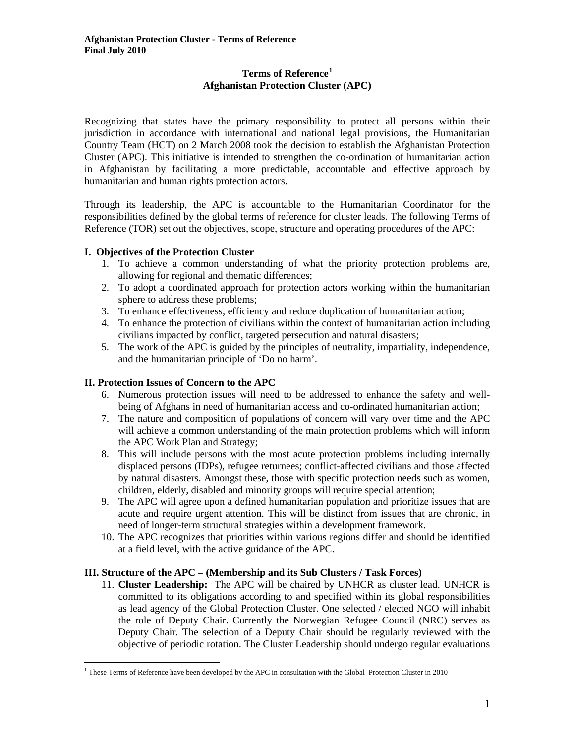## **Terms of Reference[1](#page-0-0) Afghanistan Protection Cluster (APC)**

Recognizing that states have the primary responsibility to protect all persons within their jurisdiction in accordance with international and national legal provisions, the Humanitarian Country Team (HCT) on 2 March 2008 took the decision to establish the Afghanistan Protection Cluster (APC). This initiative is intended to strengthen the co-ordination of humanitarian action in Afghanistan by facilitating a more predictable, accountable and effective approach by humanitarian and human rights protection actors.

Through its leadership, the APC is accountable to the Humanitarian Coordinator for the responsibilities defined by the global terms of reference for cluster leads. The following Terms of Reference (TOR) set out the objectives, scope, structure and operating procedures of the APC:

# **I. Objectives of the Protection Cluster**

- 1. To achieve a common understanding of what the priority protection problems are, allowing for regional and thematic differences;
- 2. To adopt a coordinated approach for protection actors working within the humanitarian sphere to address these problems;
- 3. To enhance effectiveness, efficiency and reduce duplication of humanitarian action;
- 4. To enhance the protection of civilians within the context of humanitarian action including civilians impacted by conflict, targeted persecution and natural disasters;
- 5. The work of the APC is guided by the principles of neutrality, impartiality, independence, and the humanitarian principle of 'Do no harm'.

# **II. Protection Issues of Concern to the APC**

 $\overline{a}$ 

- 6. Numerous protection issues will need to be addressed to enhance the safety and wellbeing of Afghans in need of humanitarian access and co-ordinated humanitarian action;
- 7. The nature and composition of populations of concern will vary over time and the APC will achieve a common understanding of the main protection problems which will inform the APC Work Plan and Strategy;
- 8. This will include persons with the most acute protection problems including internally displaced persons (IDPs), refugee returnees; conflict-affected civilians and those affected by natural disasters. Amongst these, those with specific protection needs such as women, children, elderly, disabled and minority groups will require special attention;
- 9. The APC will agree upon a defined humanitarian population and prioritize issues that are acute and require urgent attention. This will be distinct from issues that are chronic, in need of longer-term structural strategies within a development framework.
- 10. The APC recognizes that priorities within various regions differ and should be identified at a field level, with the active guidance of the APC.

## **III. Structure of the APC – (Membership and its Sub Clusters / Task Forces)**

11. **Cluster Leadership:** The APC will be chaired by UNHCR as cluster lead. UNHCR is committed to its obligations according to and specified within its global responsibilities as lead agency of the Global Protection Cluster. One selected / elected NGO will inhabit the role of Deputy Chair. Currently the Norwegian Refugee Council (NRC) serves as Deputy Chair. The selection of a Deputy Chair should be regularly reviewed with the objective of periodic rotation. The Cluster Leadership should undergo regular evaluations

<span id="page-0-0"></span><sup>1</sup> These Terms of Reference have been developed by the APC in consultation with the Global Protection Cluster in 2010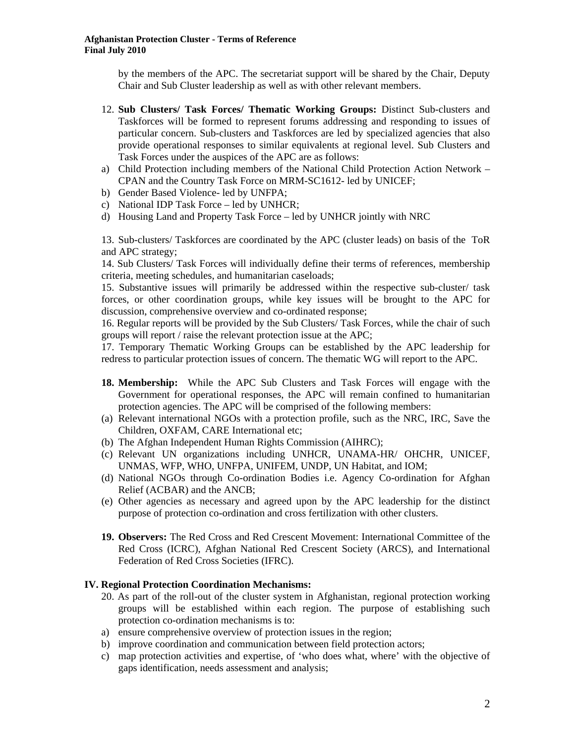by the members of the APC. The secretariat support will be shared by the Chair, Deputy Chair and Sub Cluster leadership as well as with other relevant members.

- 12. **Sub Clusters/ Task Forces/ Thematic Working Groups:** Distinct Sub-clusters and Taskforces will be formed to represent forums addressing and responding to issues of particular concern. Sub-clusters and Taskforces are led by specialized agencies that also provide operational responses to similar equivalents at regional level. Sub Clusters and Task Forces under the auspices of the APC are as follows:
- a) Child Protection including members of the National Child Protection Action Network CPAN and the Country Task Force on MRM-SC1612- led by UNICEF;
- b) Gender Based Violence- led by UNFPA;
- c) National IDP Task Force led by UNHCR;
- d) Housing Land and Property Task Force led by UNHCR jointly with NRC

13. Sub-clusters/ Taskforces are coordinated by the APC (cluster leads) on basis of the ToR and APC strategy;

14. Sub Clusters/ Task Forces will individually define their terms of references, membership criteria, meeting schedules, and humanitarian caseloads;

15. Substantive issues will primarily be addressed within the respective sub-cluster/ task forces, or other coordination groups, while key issues will be brought to the APC for discussion, comprehensive overview and co-ordinated response;

16. Regular reports will be provided by the Sub Clusters/ Task Forces, while the chair of such groups will report / raise the relevant protection issue at the APC;

17. Temporary Thematic Working Groups can be established by the APC leadership for redress to particular protection issues of concern. The thematic WG will report to the APC.

- **18. Membership:** While the APC Sub Clusters and Task Forces will engage with the Government for operational responses, the APC will remain confined to humanitarian protection agencies. The APC will be comprised of the following members:
- (a) Relevant international NGOs with a protection profile, such as the NRC, IRC, Save the Children, OXFAM, CARE International etc;
- (b) The Afghan Independent Human Rights Commission (AIHRC);
- (c) Relevant UN organizations including UNHCR, UNAMA-HR/ OHCHR, UNICEF, UNMAS, WFP, WHO, UNFPA, UNIFEM, UNDP, UN Habitat, and IOM;
- (d) National NGOs through Co-ordination Bodies i.e. Agency Co-ordination for Afghan Relief (ACBAR) and the ANCB;
- (e) Other agencies as necessary and agreed upon by the APC leadership for the distinct purpose of protection co-ordination and cross fertilization with other clusters.
- **19. Observers:** The Red Cross and Red Crescent Movement: International Committee of the Red Cross (ICRC), Afghan National Red Crescent Society (ARCS), and International Federation of Red Cross Societies (IFRC).

### **IV. Regional Protection Coordination Mechanisms:**

- 20. As part of the roll-out of the cluster system in Afghanistan, regional protection working groups will be established within each region. The purpose of establishing such protection co-ordination mechanisms is to:
- a) ensure comprehensive overview of protection issues in the region;
- b) improve coordination and communication between field protection actors;
- c) map protection activities and expertise, of 'who does what, where' with the objective of gaps identification, needs assessment and analysis;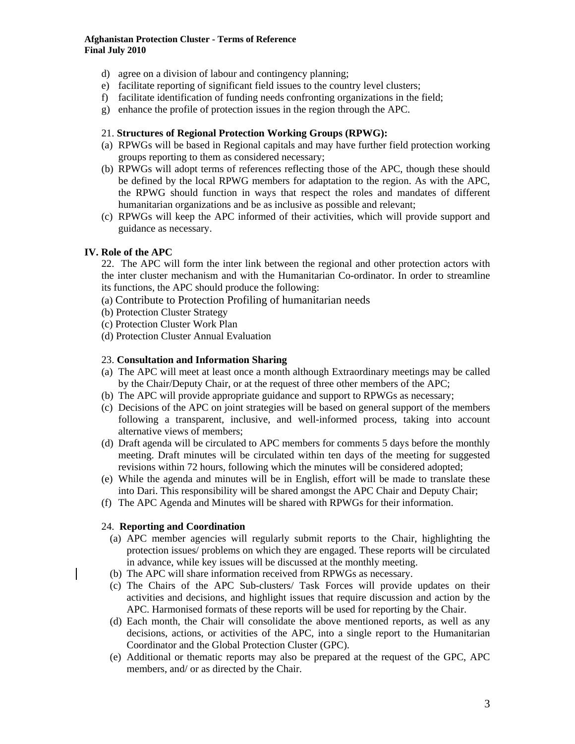#### **Afghanistan Protection Cluster - Terms of Reference Final July 2010**

- d) agree on a division of labour and contingency planning;
- e) facilitate reporting of significant field issues to the country level clusters;
- f) facilitate identification of funding needs confronting organizations in the field;
- g) enhance the profile of protection issues in the region through the APC.

### 21. **Structures of Regional Protection Working Groups (RPWG):**

- (a) RPWGs will be based in Regional capitals and may have further field protection working groups reporting to them as considered necessary;
- (b) RPWGs will adopt terms of references reflecting those of the APC, though these should be defined by the local RPWG members for adaptation to the region. As with the APC, the RPWG should function in ways that respect the roles and mandates of different humanitarian organizations and be as inclusive as possible and relevant;
- (c) RPWGs will keep the APC informed of their activities, which will provide support and guidance as necessary.

## **IV. Role of the APC**

22. The APC will form the inter link between the regional and other protection actors with the inter cluster mechanism and with the Humanitarian Co-ordinator. In order to streamline its functions, the APC should produce the following:

- (a) Contribute to Protection Profiling of humanitarian needs
- (b) Protection Cluster Strategy
- (c) Protection Cluster Work Plan
- (d) Protection Cluster Annual Evaluation

#### 23. **Consultation and Information Sharing**

- (a) The APC will meet at least once a month although Extraordinary meetings may be called by the Chair/Deputy Chair, or at the request of three other members of the APC;
- (b) The APC will provide appropriate guidance and support to RPWGs as necessary;
- (c) Decisions of the APC on joint strategies will be based on general support of the members following a transparent, inclusive, and well-informed process, taking into account alternative views of members;
- (d) Draft agenda will be circulated to APC members for comments 5 days before the monthly meeting. Draft minutes will be circulated within ten days of the meeting for suggested revisions within 72 hours, following which the minutes will be considered adopted;
- (e) While the agenda and minutes will be in English, effort will be made to translate these into Dari. This responsibility will be shared amongst the APC Chair and Deputy Chair;
- (f) The APC Agenda and Minutes will be shared with RPWGs for their information.

### 24. **Reporting and Coordination**

- (a) APC member agencies will regularly submit reports to the Chair, highlighting the protection issues/ problems on which they are engaged. These reports will be circulated in advance, while key issues will be discussed at the monthly meeting.
- (b) The APC will share information received from RPWGs as necessary.
- (c) The Chairs of the APC Sub-clusters/ Task Forces will provide updates on their activities and decisions, and highlight issues that require discussion and action by the APC. Harmonised formats of these reports will be used for reporting by the Chair.
- (d) Each month, the Chair will consolidate the above mentioned reports, as well as any decisions, actions, or activities of the APC, into a single report to the Humanitarian Coordinator and the Global Protection Cluster (GPC).
- (e) Additional or thematic reports may also be prepared at the request of the GPC, APC members, and/ or as directed by the Chair.